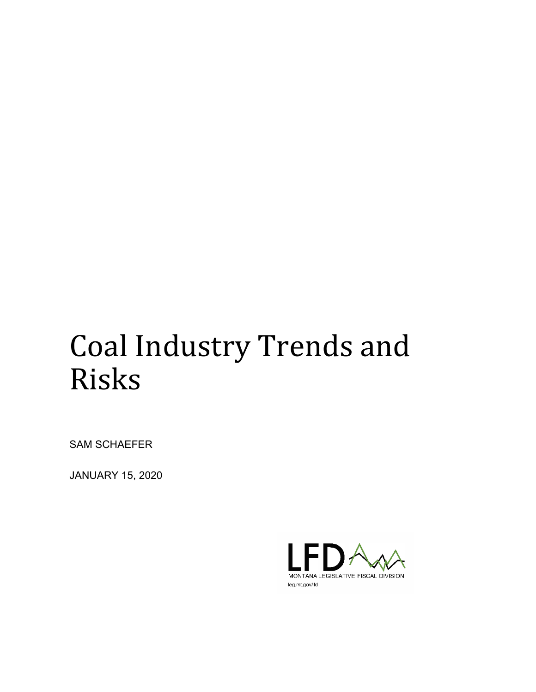## Coal Industry Trends and Risks

SAM SCHAEFER

JANUARY 15, 2020

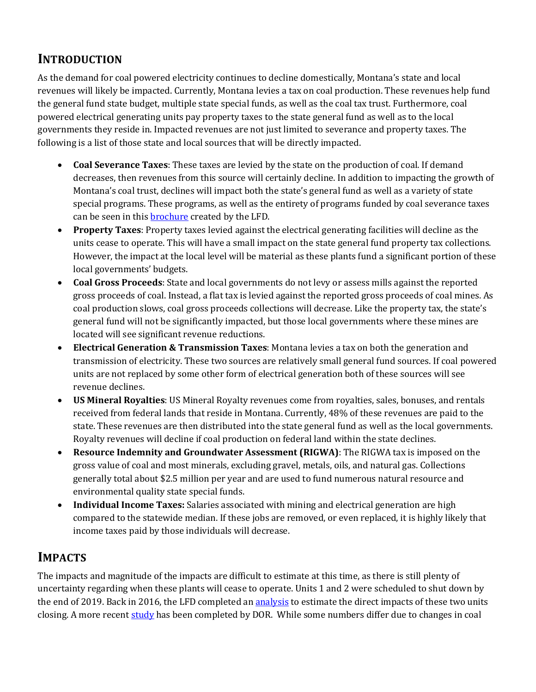## **INTRODUCTION**

As the demand for coal powered electricity continues to decline domestically, Montana's state and local revenues will likely be impacted. Currently, Montana levies a tax on coal production. These revenues help fund the general fund state budget, multiple state special funds, as well as the coal tax trust. Furthermore, coal powered electrical generating units pay property taxes to the state general fund as well as to the local governments they reside in. Impacted revenues are not just limited to severance and property taxes. The following is a list of those state and local sources that will be directly impacted.

- **Coal Severance Taxes**: These taxes are levied by the state on the production of coal. If demand decreases, then revenues from this source will certainly decline. In addition to impacting the growth of Montana's coal trust, declines will impact both the state's general fund as well as a variety of state special programs. These programs, as well as the entirety of programs funded by coal severance taxes can be seen in this **brochure** created by the LFD.
- **Property Taxes**: Property taxes levied against the electrical generating facilities will decline as the units cease to operate. This will have a small impact on the state general fund property tax collections. However, the impact at the local level will be material as these plants fund a significant portion of these local governments' budgets.
- **Coal Gross Proceeds**: State and local governments do not levy or assess mills against the reported gross proceeds of coal. Instead, a flat tax is levied against the reported gross proceeds of coal mines. As coal production slows, coal gross proceeds collections will decrease. Like the property tax, the state's general fund will not be significantly impacted, but those local governments where these mines are located will see significant revenue reductions.
- **Electrical Generation & Transmission Taxes**: Montana levies a tax on both the generation and transmission of electricity. These two sources are relatively small general fund sources. If coal powered units are not replaced by some other form of electrical generation both of these sources will see revenue declines.
- **US Mineral Royalties**: US Mineral Royalty revenues come from royalties, sales, bonuses, and rentals received from federal lands that reside in Montana. Currently, 48% of these revenues are paid to the state. These revenues are then distributed into the state general fund as well as the local governments. Royalty revenues will decline if coal production on federal land within the state declines.
- **Resource Indemnity and Groundwater Assessment (RIGWA)**: The RIGWA tax is imposed on the gross value of coal and most minerals, excluding gravel, metals, oils, and natural gas. Collections generally total about \$2.5 million per year and are used to fund numerous natural resource and environmental quality state special funds.
- **Individual Income Taxes:** Salaries associated with mining and electrical generation are high compared to the statewide median. If these jobs are removed, or even replaced, it is highly likely that income taxes paid by those individuals will decrease.

## **IMPACTS**

The impacts and magnitude of the impacts are difficult to estimate at this time, as there is still plenty of uncertainty regarding when these plants will cease to operate. Units 1 and 2 were scheduled to shut down by the end of 2019. Back in 2016, the LFD completed an [analysis](https://leg.mt.gov/content/Publications/fiscal/Revenue/Ankney_Colstrip_2019.pdf) to estimate the direct impacts of these two units closing. A more recent [study](https://leg.mt.gov/content/Committees/Administration/Legislative-Council/2019-20/Committee-Topics/LegWeek/Colstrip-Tax-Memo.pdf) has been completed by DOR. While some numbers differ due to changes in coal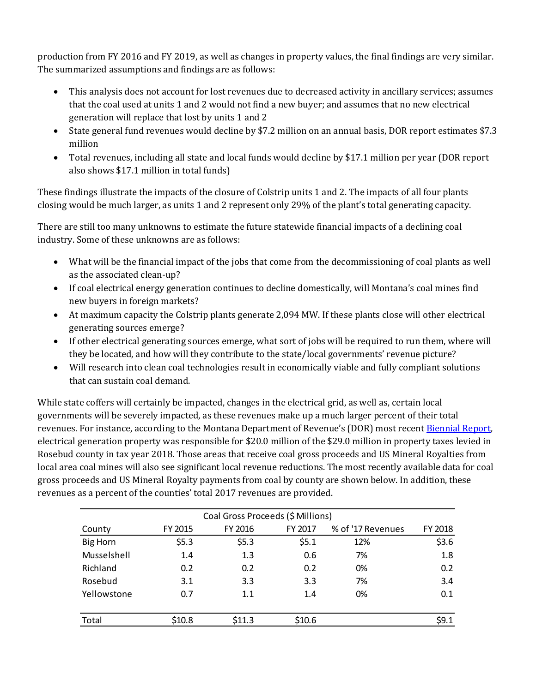production from FY 2016 and FY 2019, as well as changes in property values, the final findings are very similar. The summarized assumptions and findings are as follows:

- This analysis does not account for lost revenues due to decreased activity in ancillary services; assumes that the coal used at units 1 and 2 would not find a new buyer; and assumes that no new electrical generation will replace that lost by units 1 and 2
- State general fund revenues would decline by \$7.2 million on an annual basis, DOR report estimates \$7.3 million
- Total revenues, including all state and local funds would decline by \$17.1 million per year (DOR report also shows \$17.1 million in total funds)

These findings illustrate the impacts of the closure of Colstrip units 1 and 2. The impacts of all four plants closing would be much larger, as units 1 and 2 represent only 29% of the plant's total generating capacity.

There are still too many unknowns to estimate the future statewide financial impacts of a declining coal industry. Some of these unknowns are as follows:

- What will be the financial impact of the jobs that come from the decommissioning of coal plants as well as the associated clean-up?
- If coal electrical energy generation continues to decline domestically, will Montana's coal mines find new buyers in foreign markets?
- At maximum capacity the Colstrip plants generate 2,094 MW. If these plants close will other electrical generating sources emerge?
- If other electrical generating sources emerge, what sort of jobs will be required to run them, where will they be located, and how will they contribute to the state/local governments' revenue picture?
- Will research into clean coal technologies result in economically viable and fully compliant solutions that can sustain coal demand.

While state coffers will certainly be impacted, changes in the electrical grid, as well as, certain local governments will be severely impacted, as these revenues make up a much larger percent of their total revenues. For instance, according to the Montana Department of Revenue's (DOR) most recent [Biennial Report,](https://mtrevenue.gov/wp-content/uploads/2019/01/2016-2018-Biennial-Report.pdf) electrical generation property was responsible for \$20.0 million of the \$29.0 million in property taxes levied in Rosebud county in tax year 2018. Those areas that receive coal gross proceeds and US Mineral Royalties from local area coal mines will also see significant local revenue reductions. The most recently available data for coal gross proceeds and US Mineral Royalty payments from coal by county are shown below. In addition, these revenues as a percent of the counties' total 2017 revenues are provided.

| Coal Gross Proceeds (\$ Millions) |         |         |                   |         |  |  |
|-----------------------------------|---------|---------|-------------------|---------|--|--|
| FY 2015                           | FY 2016 | FY 2017 | % of '17 Revenues | FY 2018 |  |  |
| \$5.3                             | \$5.3   | \$5.1   | 12%               | \$3.6   |  |  |
| 1.4                               | 1.3     | 0.6     | 7%                | 1.8     |  |  |
| 0.2                               | 0.2     | 0.2     | 0%                | 0.2     |  |  |
| 3.1                               | 3.3     | 3.3     | 7%                | 3.4     |  |  |
| 0.7                               | 1.1     | 1.4     | 0%                | 0.1     |  |  |
|                                   |         |         |                   |         |  |  |
| \$10.8                            | \$11.3  | \$10.6  |                   | \$9.1   |  |  |
|                                   |         |         |                   |         |  |  |